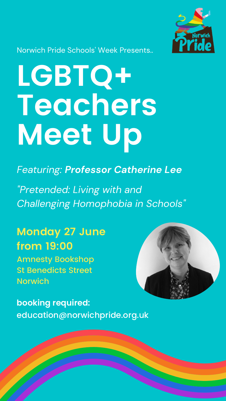# **LGBTQ+ Teachers Meet Up**

*Featuring: Professor Catherine Lee*

*"Pretended: Living with and Challenging Homophobia in Schools "*



#### Norwich Pride Schools ' Week Presents..

**Monday 27 June from 19:00**



Amnesty Bookshop St Benedicts Street Norwich

### **booking required:** education@norwichpride.org.uk